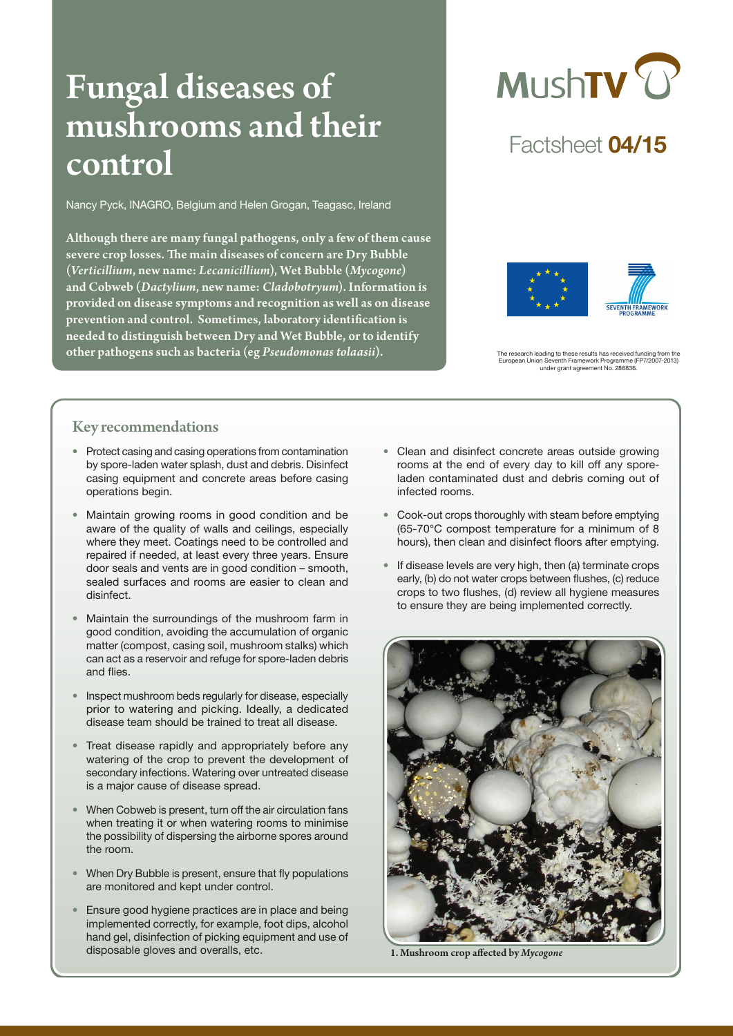# Fungal diseases of mushrooms and their control

Nancy Pyck, INAGRO, Belgium and Helen Grogan, Teagasc, Ireland

Although there are many fungal pathogens, only a few of them cause severe crop losses. The main diseases of concern are Dry Bubble (*Verticillium*, new name: *Lecanicillium*), Wet Bubble (*Mycogone*) and Cobweb (*Dactylium*, new name: *Cladobotryum*). Information is provided on disease symptoms and recognition as well as on disease prevention and control. Sometimes, laboratory identification is needed to distinguish between Dry and Wet Bubble, or to identify other pathogens such as bacteria (eg *Pseudomonas tolaasii*).<br>
European Union Seventh Framework Programme (FP7/2007-2013)



# Factsheet 04/15



European Union Seventh Framework Programme (FP7/2007-2013) under grant agreement No. 286836.

# Key recommendations

- Protect casing and casing operations from contamination by spore-laden water splash, dust and debris. Disinfect casing equipment and concrete areas before casing operations begin.
- Maintain growing rooms in good condition and be aware of the quality of walls and ceilings, especially where they meet. Coatings need to be controlled and repaired if needed, at least every three years. Ensure door seals and vents are in good condition – smooth, sealed surfaces and rooms are easier to clean and disinfect.
- Maintain the surroundings of the mushroom farm in good condition, avoiding the accumulation of organic matter (compost, casing soil, mushroom stalks) which can act as a reservoir and refuge for spore-laden debris and flies.
- Inspect mushroom beds regularly for disease, especially prior to watering and picking. Ideally, a dedicated disease team should be trained to treat all disease.
- Treat disease rapidly and appropriately before any watering of the crop to prevent the development of secondary infections. Watering over untreated disease is a major cause of disease spread.
- When Cobweb is present, turn off the air circulation fans when treating it or when watering rooms to minimise the possibility of dispersing the airborne spores around the room.
- When Dry Bubble is present, ensure that fly populations are monitored and kept under control.
- Ensure good hygiene practices are in place and being implemented correctly, for example, foot dips, alcohol hand gel, disinfection of picking equipment and use of disposable gloves and overalls, etc.
- Clean and disinfect concrete areas outside growing rooms at the end of every day to kill off any sporeladen contaminated dust and debris coming out of infected rooms.
- Cook-out crops thoroughly with steam before emptying (65-70°C compost temperature for a minimum of 8 hours), then clean and disinfect floors after emptying.
- If disease levels are very high, then (a) terminate crops early, (b) do not water crops between flushes, (c) reduce crops to two flushes, (d) review all hygiene measures to ensure they are being implemented correctly.



1. Mushroom crop affected by *Mycogone*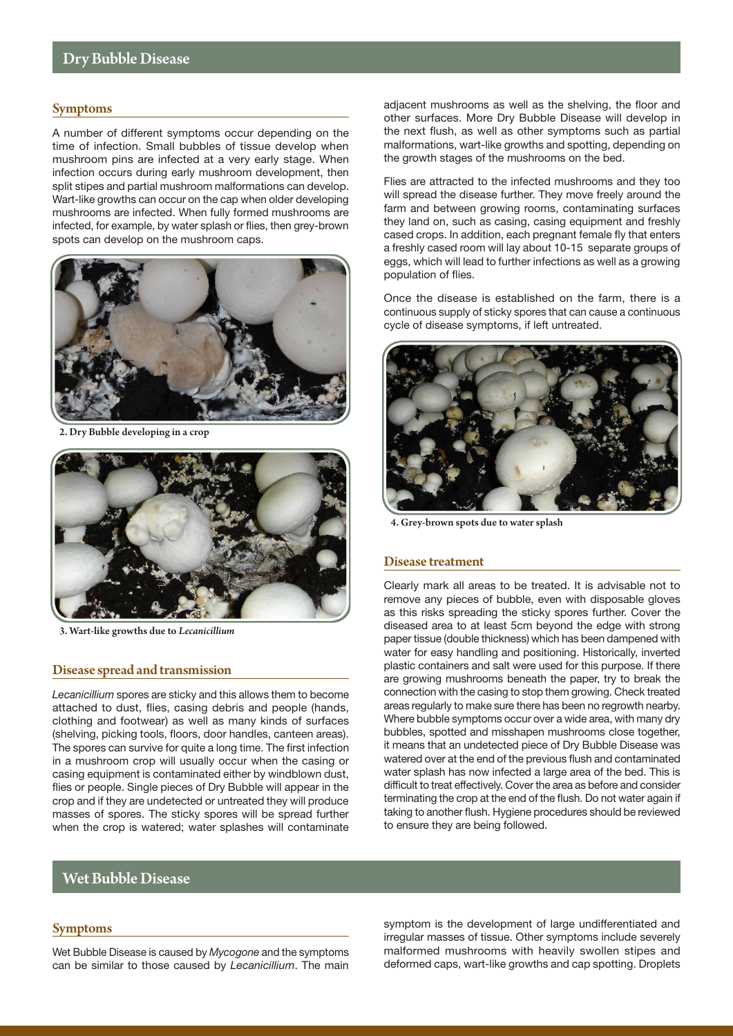#### Symptoms

A number of different symptoms occur depending on the time of infection. Small bubbles of tissue develop when mushroom pins are infected at a very early stage. When infection occurs during early mushroom development, then split stipes and partial mushroom malformations can develop. Wart-like growths can occur on the cap when older developing mushrooms are infected. When fully formed mushrooms are infected, for example, by water splash or flies, then grey-brown spots can develop on the mushroom caps.



Bubble developing in a crop



3. Wart-like growths due to *Lecanicillium*

#### Disease spread and transmission

*Lecanicillium* spores are sticky and this allows them to become attached to dust, flies, casing debris and people (hands, clothing and footwear) as well as many kinds of surfaces (shelving, picking tools, floors, door handles, canteen areas). The spores can survive for quite a long time. The first infection in a mushroom crop will usually occur when the casing or casing equipment is contaminated either by windblown dust, flies or people. Single pieces of Dry Bubble will appear in the crop and if they are undetected or untreated they will produce masses of spores. The sticky spores will be spread further when the crop is watered; water splashes will contaminate adjacent mushrooms as well as the shelving, the floor and other surfaces. More Dry Bubble Disease will develop in the next flush, as well as other symptoms such as partial malformations, wart-like growths and spotting, depending on the growth stages of the mushrooms on the bed.

Flies are attracted to the infected mushrooms and they too will spread the disease further. They move freely around the farm and between growing rooms, contaminating surfaces they land on, such as casing, casing equipment and freshly cased crops. In addition, each pregnant female fly that enters a freshly cased room will lay about 10-15 separate groups of eggs, which will lead to further infections as well as a growing population of flies.

Once the disease is established on the farm, there is a continuous supply of sticky spores that can cause a continuous cycle of disease symptoms, if left untreated.



4. Grey-brown spots due to water splash

#### Disease treatment

Clearly mark all areas to be treated. It is advisable not to remove any pieces of bubble, even with disposable gloves as this risks spreading the sticky spores further. Cover the diseased area to at least 5cm beyond the edge with strong paper tissue (double thickness) which has been dampened with water for easy handling and positioning. Historically, inverted plastic containers and salt were used for this purpose. If there are growing mushrooms beneath the paper, try to break the connection with the casing to stop them growing. Check treated areas regularly to make sure there has been no regrowth nearby. Where bubble symptoms occur over a wide area, with many dry bubbles, spotted and misshapen mushrooms close together, it means that an undetected piece of Dry Bubble Disease was watered over at the end of the previous flush and contaminated water splash has now infected a large area of the bed. This is difficult to treat effectively. Cover the area as before and consider terminating the crop at the end of the flush. Do not water again if taking to another flush. Hygiene procedures should be reviewed to ensure they are being followed.

#### Wet Bubble Disease

#### Symptoms

Wet Bubble Disease is caused by *Mycogone* and the symptoms can be similar to those caused by *Lecanicillium*. The main

symptom is the development of large undifferentiated and irregular masses of tissue. Other symptoms include severely malformed mushrooms with heavily swollen stipes and deformed caps, wart-like growths and cap spotting. Droplets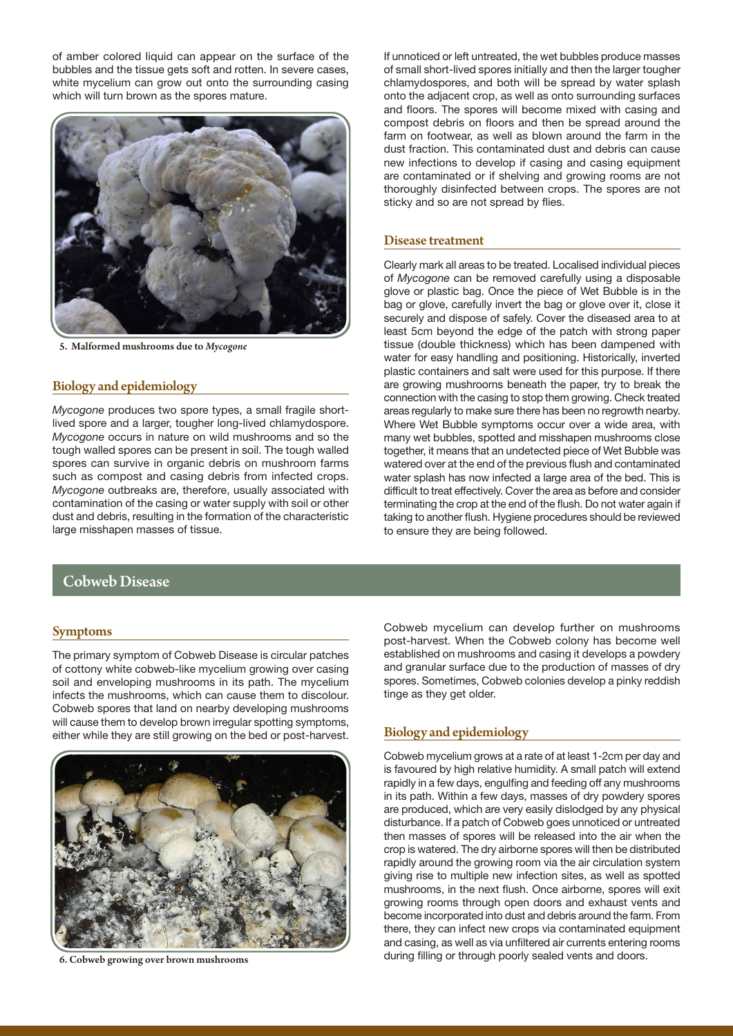of amber colored liquid can appear on the surface of the bubbles and the tissue gets soft and rotten. In severe cases, white mycelium can grow out onto the surrounding casing which will turn brown as the spores mature.



5. Malformed mushrooms due to *Mycogone*

# Biology and epidemiology

*Mycogone* produces two spore types, a small fragile shortlived spore and a larger, tougher long-lived chlamydospore. *Mycogone* occurs in nature on wild mushrooms and so the tough walled spores can be present in soil. The tough walled spores can survive in organic debris on mushroom farms such as compost and casing debris from infected crops. *Mycogone* outbreaks are, therefore, usually associated with contamination of the casing or water supply with soil or other dust and debris, resulting in the formation of the characteristic large misshapen masses of tissue.

# Cobweb Disease

#### Symptoms

The primary symptom of Cobweb Disease is circular patches of cottony white cobweb-like mycelium growing over casing soil and enveloping mushrooms in its path. The mycelium infects the mushrooms, which can cause them to discolour. Cobweb spores that land on nearby developing mushrooms will cause them to develop brown irregular spotting symptoms. either while they are still growing on the bed or post-harvest.



6. Cobweb growing over brown mushrooms

If unnoticed or left untreated, the wet bubbles produce masses of small short-lived spores initially and then the larger tougher chlamydospores, and both will be spread by water splash onto the adjacent crop, as well as onto surrounding surfaces and floors. The spores will become mixed with casing and compost debris on floors and then be spread around the farm on footwear, as well as blown around the farm in the dust fraction. This contaminated dust and debris can cause new infections to develop if casing and casing equipment are contaminated or if shelving and growing rooms are not thoroughly disinfected between crops. The spores are not sticky and so are not spread by flies.

#### Disease treatment

Clearly mark all areas to be treated. Localised individual pieces of *Mycogone* can be removed carefully using a disposable glove or plastic bag. Once the piece of Wet Bubble is in the bag or glove, carefully invert the bag or glove over it, close it securely and dispose of safely. Cover the diseased area to at least 5cm beyond the edge of the patch with strong paper tissue (double thickness) which has been dampened with water for easy handling and positioning. Historically, inverted plastic containers and salt were used for this purpose. If there are growing mushrooms beneath the paper, try to break the connection with the casing to stop them growing. Check treated areas regularly to make sure there has been no regrowth nearby. Where Wet Bubble symptoms occur over a wide area, with many wet bubbles, spotted and misshapen mushrooms close together, it means that an undetected piece of Wet Bubble was watered over at the end of the previous flush and contaminated water splash has now infected a large area of the bed. This is difficult to treat effectively. Cover the area as before and consider terminating the crop at the end of the flush. Do not water again if taking to another flush. Hygiene procedures should be reviewed to ensure they are being followed.

Cobweb mycelium can develop further on mushrooms post-harvest. When the Cobweb colony has become well established on mushrooms and casing it develops a powdery and granular surface due to the production of masses of dry spores. Sometimes, Cobweb colonies develop a pinky reddish tinge as they get older.

### Biology and epidemiology

Cobweb mycelium grows at a rate of at least 1-2cm per day and is favoured by high relative humidity. A small patch will extend rapidly in a few days, engulfing and feeding off any mushrooms in its path. Within a few days, masses of dry powdery spores are produced, which are very easily dislodged by any physical disturbance. If a patch of Cobweb goes unnoticed or untreated then masses of spores will be released into the air when the crop is watered. The dry airborne spores will then be distributed rapidly around the growing room via the air circulation system giving rise to multiple new infection sites, as well as spotted mushrooms, in the next flush. Once airborne, spores will exit growing rooms through open doors and exhaust vents and become incorporated into dust and debris around the farm. From there, they can infect new crops via contaminated equipment and casing, as well as via unfiltered air currents entering rooms during filling or through poorly sealed vents and doors.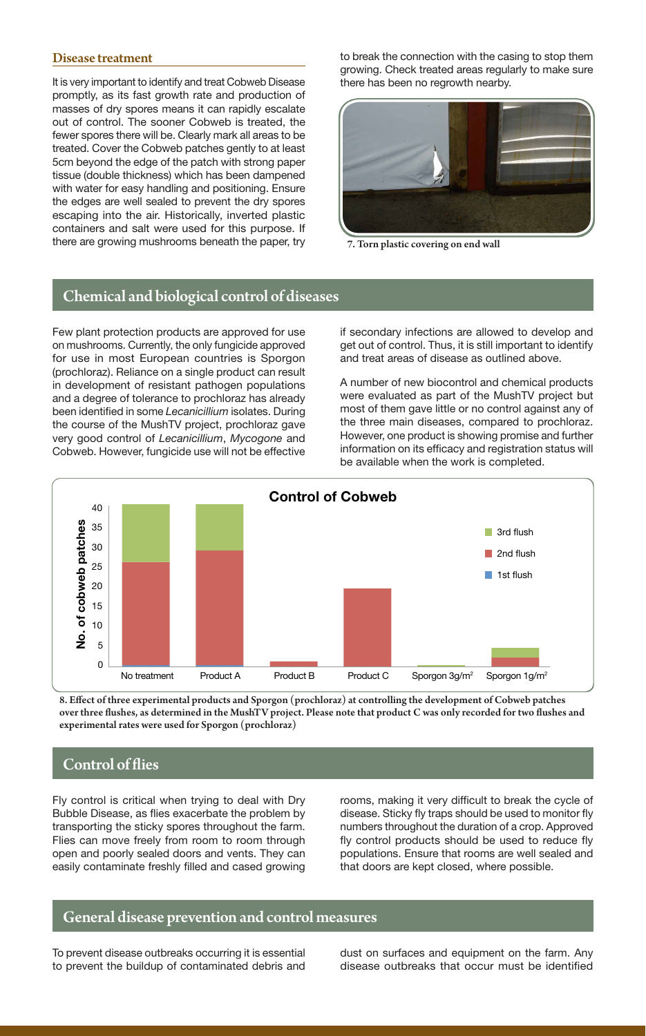#### Disease treatment

It is very important to identify and treat Cobweb Disease promptly, as its fast growth rate and production of masses of dry spores means it can rapidly escalate out of control. The sooner Cobweb is treated, the fewer spores there will be. Clearly mark all areas to be treated. Cover the Cobweb patches gently to at least 5cm beyond the edge of the patch with strong paper tissue (double thickness) which has been dampened with water for easy handling and positioning. Ensure the edges are well sealed to prevent the dry spores escaping into the air. Historically, inverted plastic containers and salt were used for this purpose. If there are growing mushrooms beneath the paper, try to break the connection with the casing to stop them growing. Check treated areas regularly to make sure there has been no regrowth nearby.



7. Torn plastic covering on end wall

# Chemical and biological control of diseases

Few plant protection products are approved for use on mushrooms. Currently, the only fungicide approved for use in most European countries is Sporgon (prochloraz). Reliance on a single product can result in development of resistant pathogen populations and a degree of tolerance to prochloraz has already been identified in some *Lecanicillium* isolates. During the course of the MushTV project, prochloraz gave very good control of *Lecanicillium*, *Mycogone* and Cobweb. However, fungicide use will not be effective if secondary infections are allowed to develop and get out of control. Thus, it is still important to identify and treat areas of disease as outlined above.

A number of new biocontrol and chemical products were evaluated as part of the MushTV project but most of them gave little or no control against any of the three main diseases, compared to prochloraz. However, one product is showing promise and further information on its efficacy and registration status will be available when the work is completed.



8. Effect of three experimental products and Sporgon (prochloraz) at controlling the development of Cobweb patches over three flushes, as determined in the MushTV project. Please note that product C was only recorded for two flushes and experimental rates were used for Sporgon (prochloraz)

# Control of flies

Fly control is critical when trying to deal with Dry Bubble Disease, as flies exacerbate the problem by transporting the sticky spores throughout the farm. Flies can move freely from room to room through open and poorly sealed doors and vents. They can easily contaminate freshly filled and cased growing rooms, making it very difficult to break the cycle of disease. Sticky fly traps should be used to monitor fly numbers throughout the duration of a crop. Approved fly control products should be used to reduce fly populations. Ensure that rooms are well sealed and that doors are kept closed, where possible.

# General disease prevention and control measures

To prevent disease outbreaks occurring it is essential to prevent the buildup of contaminated debris and dust on surfaces and equipment on the farm. Any disease outbreaks that occur must be identified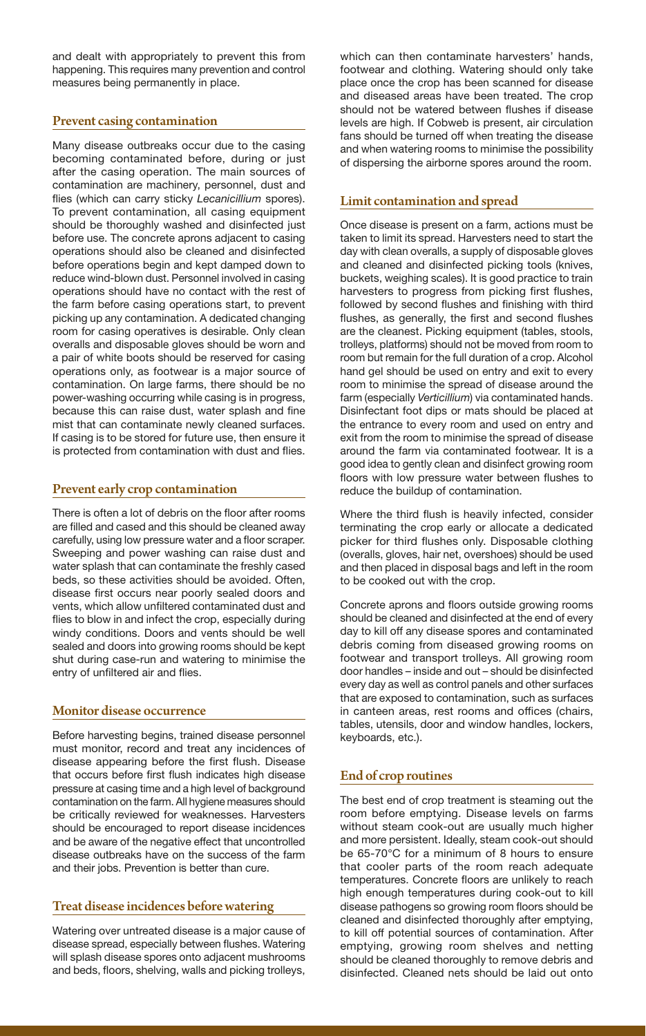and dealt with appropriately to prevent this from happening. This requires many prevention and control measures being permanently in place.

# Prevent casing contamination

Many disease outbreaks occur due to the casing becoming contaminated before, during or just after the casing operation. The main sources of contamination are machinery, personnel, dust and flies (which can carry sticky *Lecanicillium* spores). To prevent contamination, all casing equipment should be thoroughly washed and disinfected just before use. The concrete aprons adjacent to casing operations should also be cleaned and disinfected before operations begin and kept damped down to reduce wind-blown dust. Personnel involved in casing operations should have no contact with the rest of the farm before casing operations start, to prevent picking up any contamination. A dedicated changing room for casing operatives is desirable. Only clean overalls and disposable gloves should be worn and a pair of white boots should be reserved for casing operations only, as footwear is a major source of contamination. On large farms, there should be no power-washing occurring while casing is in progress, because this can raise dust, water splash and fine mist that can contaminate newly cleaned surfaces. If casing is to be stored for future use, then ensure it is protected from contamination with dust and flies.

# Prevent early crop contamination

There is often a lot of debris on the floor after rooms are filled and cased and this should be cleaned away carefully, using low pressure water and a floor scraper. Sweeping and power washing can raise dust and water splash that can contaminate the freshly cased beds, so these activities should be avoided. Often, disease first occurs near poorly sealed doors and vents, which allow unfiltered contaminated dust and flies to blow in and infect the crop, especially during windy conditions. Doors and vents should be well sealed and doors into growing rooms should be kept shut during case-run and watering to minimise the entry of unfiltered air and flies.

# Monitor disease occurrence

Before harvesting begins, trained disease personnel must monitor, record and treat any incidences of disease appearing before the first flush. Disease that occurs before first flush indicates high disease pressure at casing time and a high level of background contamination on the farm. All hygiene measures should be critically reviewed for weaknesses. Harvesters should be encouraged to report disease incidences and be aware of the negative effect that uncontrolled disease outbreaks have on the success of the farm and their jobs. Prevention is better than cure.

# Treat disease incidences before watering

Watering over untreated disease is a major cause of disease spread, especially between flushes. Watering will splash disease spores onto adjacent mushrooms and beds, floors, shelving, walls and picking trolleys, which can then contaminate harvesters' hands, footwear and clothing. Watering should only take place once the crop has been scanned for disease and diseased areas have been treated. The crop should not be watered between flushes if disease levels are high. If Cobweb is present, air circulation fans should be turned off when treating the disease and when watering rooms to minimise the possibility of dispersing the airborne spores around the room.

# Limit contamination and spread

Once disease is present on a farm, actions must be taken to limit its spread. Harvesters need to start the day with clean overalls, a supply of disposable gloves and cleaned and disinfected picking tools (knives, buckets, weighing scales). It is good practice to train harvesters to progress from picking first flushes, followed by second flushes and finishing with third flushes, as generally, the first and second flushes are the cleanest. Picking equipment (tables, stools, trolleys, platforms) should not be moved from room to room but remain for the full duration of a crop. Alcohol hand gel should be used on entry and exit to every room to minimise the spread of disease around the farm (especially *Verticillium*) via contaminated hands. Disinfectant foot dips or mats should be placed at the entrance to every room and used on entry and exit from the room to minimise the spread of disease around the farm via contaminated footwear. It is a good idea to gently clean and disinfect growing room floors with low pressure water between flushes to reduce the buildup of contamination.

Where the third flush is heavily infected, consider terminating the crop early or allocate a dedicated picker for third flushes only. Disposable clothing (overalls, gloves, hair net, overshoes) should be used and then placed in disposal bags and left in the room to be cooked out with the crop.

Concrete aprons and floors outside growing rooms should be cleaned and disinfected at the end of every day to kill off any disease spores and contaminated debris coming from diseased growing rooms on footwear and transport trolleys. All growing room door handles – inside and out – should be disinfected every day as well as control panels and other surfaces that are exposed to contamination, such as surfaces in canteen areas, rest rooms and offices (chairs, tables, utensils, door and window handles, lockers, keyboards, etc.).

# End of crop routines

The best end of crop treatment is steaming out the room before emptying. Disease levels on farms without steam cook-out are usually much higher and more persistent. Ideally, steam cook-out should be 65-70°C for a minimum of 8 hours to ensure that cooler parts of the room reach adequate temperatures. Concrete floors are unlikely to reach high enough temperatures during cook-out to kill disease pathogens so growing room floors should be cleaned and disinfected thoroughly after emptying, to kill off potential sources of contamination. After emptying, growing room shelves and netting should be cleaned thoroughly to remove debris and disinfected. Cleaned nets should be laid out onto